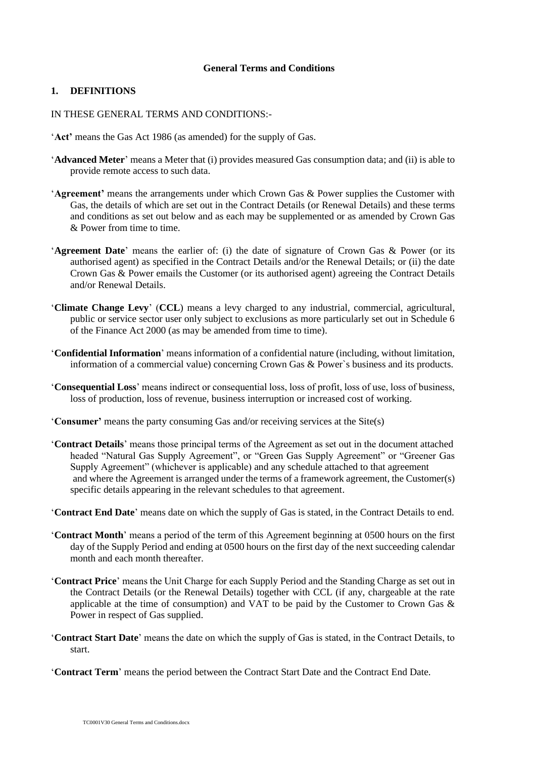#### **General Terms and Conditions**

### **1. DEFINITIONS**

#### IN THESE GENERAL TERMS AND CONDITIONS:-

- '**Act'** means the Gas Act 1986 (as amended) for the supply of Gas.
- '**Advanced Meter**' means a Meter that (i) provides measured Gas consumption data; and (ii) is able to provide remote access to such data.
- '**Agreement'** means the arrangements under which Crown Gas & Power supplies the Customer with Gas, the details of which are set out in the Contract Details (or Renewal Details) and these terms and conditions as set out below and as each may be supplemented or as amended by Crown Gas & Power from time to time.
- '**Agreement Date**' means the earlier of: (i) the date of signature of Crown Gas & Power (or its authorised agent) as specified in the Contract Details and/or the Renewal Details; or (ii) the date Crown Gas & Power emails the Customer (or its authorised agent) agreeing the Contract Details and/or Renewal Details.
- '**Climate Change Levy**' (**CCL**) means a levy charged to any industrial, commercial, agricultural, public or service sector user only subject to exclusions as more particularly set out in Schedule 6 of the Finance Act 2000 (as may be amended from time to time).
- '**Confidential Information**' means information of a confidential nature (including, without limitation, information of a commercial value) concerning Crown Gas & Power`s business and its products.
- '**Consequential Loss**' means indirect or consequential loss, loss of profit, loss of use, loss of business, loss of production, loss of revenue, business interruption or increased cost of working.
- '**Consumer'** means the party consuming Gas and/or receiving services at the Site(s)
- '**Contract Details**' means those principal terms of the Agreement as set out in the document attached headed "Natural Gas Supply Agreement", or "Green Gas Supply Agreement" or "Greener Gas Supply Agreement" (whichever is applicable) and any schedule attached to that agreement and where the Agreement is arranged under the terms of a framework agreement, the Customer(s) specific details appearing in the relevant schedules to that agreement.
- '**Contract End Date**' means date on which the supply of Gas is stated, in the Contract Details to end.
- '**Contract Month**' means a period of the term of this Agreement beginning at 0500 hours on the first day of the Supply Period and ending at 0500 hours on the first day of the next succeeding calendar month and each month thereafter
- '**Contract Price**' means the Unit Charge for each Supply Period and the Standing Charge as set out in the Contract Details (or the Renewal Details) together with CCL (if any, chargeable at the rate applicable at the time of consumption) and VAT to be paid by the Customer to Crown Gas & Power in respect of Gas supplied.
- '**Contract Start Date**' means the date on which the supply of Gas is stated, in the Contract Details, to start.
- '**Contract Term**' means the period between the Contract Start Date and the Contract End Date.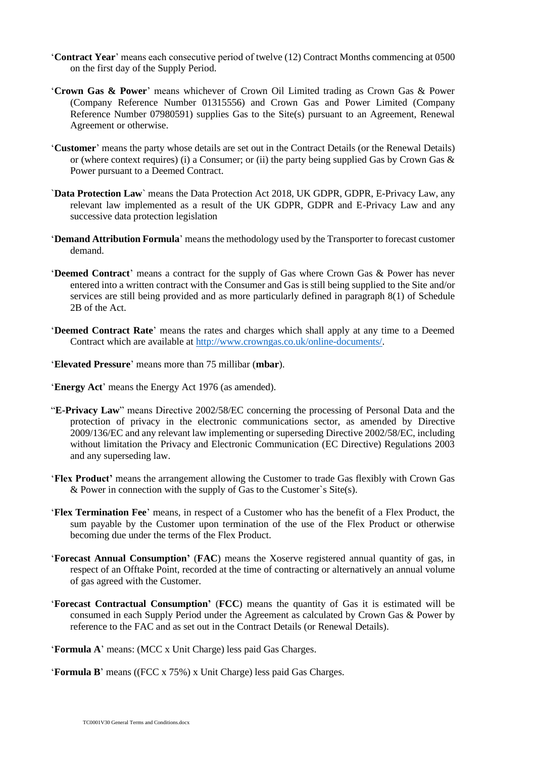- '**Contract Year**' means each consecutive period of twelve (12) Contract Months commencing at 0500 on the first day of the Supply Period.
- '**Crown Gas & Power**' means whichever of Crown Oil Limited trading as Crown Gas & Power (Company Reference Number 01315556) and Crown Gas and Power Limited (Company Reference Number 07980591) supplies Gas to the Site(s) pursuant to an Agreement, Renewal Agreement or otherwise.
- '**Customer**' means the party whose details are set out in the Contract Details (or the Renewal Details) or (where context requires) (i) a Consumer; or (ii) the party being supplied Gas by Crown Gas  $\&$ Power pursuant to a Deemed Contract.
- `**Data Protection Law**` means the Data Protection Act 2018, UK GDPR, GDPR, E-Privacy Law, any relevant law implemented as a result of the UK GDPR, GDPR and E-Privacy Law and any successive data protection legislation
- '**Demand Attribution Formula**' means the methodology used by the Transporter to forecast customer demand.
- '**Deemed Contract**' means a contract for the supply of Gas where Crown Gas & Power has never entered into a written contract with the Consumer and Gas is still being supplied to the Site and/or services are still being provided and as more particularly defined in paragraph 8(1) of Schedule 2B of the Act.
- '**Deemed Contract Rate**' means the rates and charges which shall apply at any time to a Deemed Contract which are available at [http://www.crowngas.co.uk/online-documents/.](http://www.crowngas.co.uk/online-documents/)
- '**Elevated Pressure**' means more than 75 millibar (**mbar**).
- '**Energy Act**' means the Energy Act 1976 (as amended).
- "**E-Privacy Law**" means Directive 2002/58/EC concerning the processing of Personal Data and the protection of privacy in the electronic communications sector, as amended by Directive 2009/136/EC and any relevant law implementing or superseding Directive 2002/58/EC, including without limitation the Privacy and Electronic Communication (EC Directive) Regulations 2003 and any superseding law.
- '**Flex Product'** means the arrangement allowing the Customer to trade Gas flexibly with Crown Gas & Power in connection with the supply of Gas to the Customer`s Site(s).
- '**Flex Termination Fee**' means, in respect of a Customer who has the benefit of a Flex Product, the sum payable by the Customer upon termination of the use of the Flex Product or otherwise becoming due under the terms of the Flex Product.
- '**Forecast Annual Consumption'** (**FAC**) means the Xoserve registered annual quantity of gas, in respect of an Offtake Point, recorded at the time of contracting or alternatively an annual volume of gas agreed with the Customer.
- '**Forecast Contractual Consumption'** (**FCC**) means the quantity of Gas it is estimated will be consumed in each Supply Period under the Agreement as calculated by Crown Gas & Power by reference to the FAC and as set out in the Contract Details (or Renewal Details).
- '**Formula A**' means: (MCC x Unit Charge) less paid Gas Charges.
- '**Formula B**' means ((FCC x 75%) x Unit Charge) less paid Gas Charges.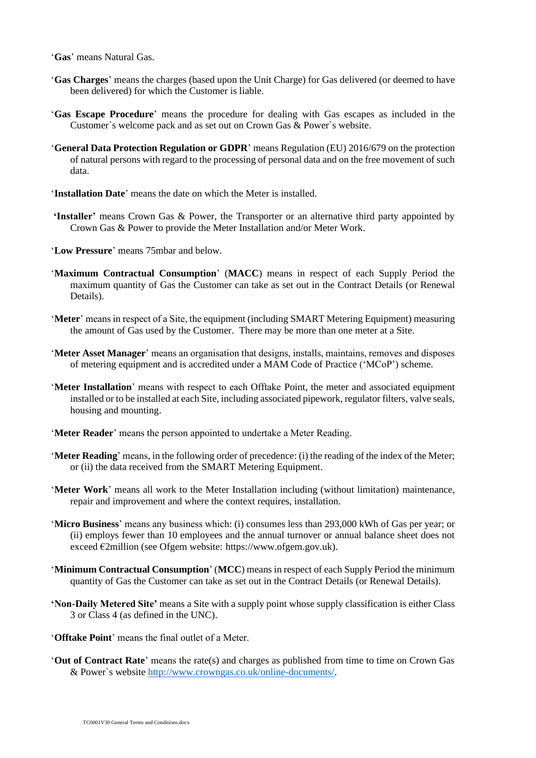'**Gas**' means Natural Gas.

- '**Gas Charges**' means the charges (based upon the Unit Charge) for Gas delivered (or deemed to have been delivered) for which the Customer is liable.
- '**Gas Escape Procedure**' means the procedure for dealing with Gas escapes as included in the Customer`s welcome pack and as set out on Crown Gas & Power`s website.
- '**General Data Protection Regulation or GDPR**' means Regulation (EU) 2016/679 on the protection of natural persons with regard to the processing of personal data and on the free movement of such data.
- '**Installation Date**' means the date on which the Meter is installed.
- **'Installer'** means Crown Gas & Power, the Transporter or an alternative third party appointed by Crown Gas & Power to provide the Meter Installation and/or Meter Work.
- '**Low Pressure**' means 75mbar and below.
- '**Maximum Contractual Consumption**' (**MACC**) means in respect of each Supply Period the maximum quantity of Gas the Customer can take as set out in the Contract Details (or Renewal Details).
- '**Meter**' means in respect of a Site, the equipment (including SMART Metering Equipment) measuring the amount of Gas used by the Customer. There may be more than one meter at a Site.
- '**Meter Asset Manager**' means an organisation that designs, installs, maintains, removes and disposes of metering equipment and is accredited under a MAM Code of Practice ('MCoP') scheme.
- '**Meter Installation**' means with respect to each Offtake Point, the meter and associated equipment installed or to be installed at each Site, including associated pipework, regulator filters, valve seals, housing and mounting.
- '**Meter Reader**' means the person appointed to undertake a Meter Reading.
- '**Meter Reading**' means, in the following order of precedence: (i) the reading of the index of the Meter; or (ii) the data received from the SMART Metering Equipment.
- '**Meter Work**' means all work to the Meter Installation including (without limitation) maintenance, repair and improvement and where the context requires, installation.
- '**Micro Business**' means any business which: (i) consumes less than 293,000 kWh of Gas per year; or (ii) employs fewer than 10 employees and the annual turnover or annual balance sheet does not exceed €2million (see Ofgem website: https://www.ofgem.gov.uk).
- '**Minimum Contractual Consumption**' (**MCC**) means in respect of each Supply Period the minimum quantity of Gas the Customer can take as set out in the Contract Details (or Renewal Details).
- **'Non-Daily Metered Site'** means a Site with a supply point whose supply classification is either Class 3 or Class 4 (as defined in the UNC).
- '**Offtake Point**' means the final outlet of a Meter.
- '**Out of Contract Rate**' means the rate(s) and charges as published from time to time on Crown Gas & Power`s website [http://www.crowngas.co.uk/online-documents/.](http://www.crowngas.co.uk/online-documents/)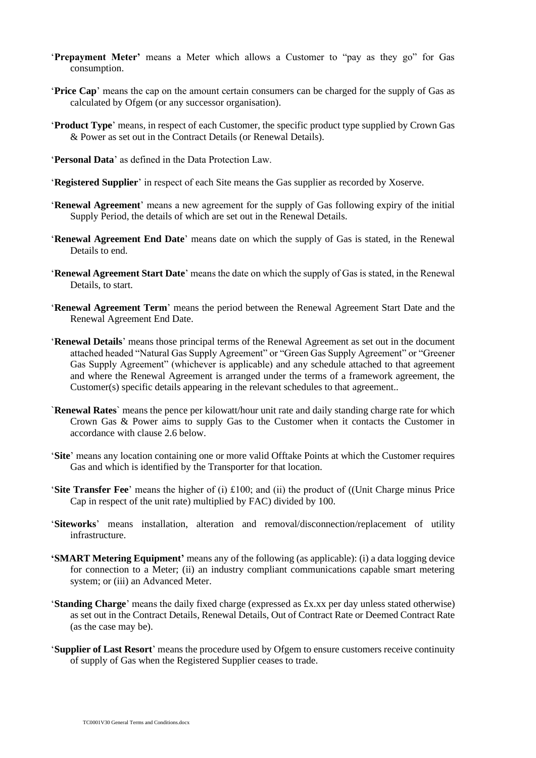- '**Prepayment Meter'** means a Meter which allows a Customer to "pay as they go" for Gas consumption.
- '**Price Cap**' means the cap on the amount certain consumers can be charged for the supply of Gas as calculated by Ofgem (or any successor organisation).
- '**Product Type**' means, in respect of each Customer, the specific product type supplied by Crown Gas & Power as set out in the Contract Details (or Renewal Details).
- '**Personal Data**' as defined in the Data Protection Law.
- '**Registered Supplier**' in respect of each Site means the Gas supplier as recorded by Xoserve.
- '**Renewal Agreement**' means a new agreement for the supply of Gas following expiry of the initial Supply Period, the details of which are set out in the Renewal Details.
- '**Renewal Agreement End Date**' means date on which the supply of Gas is stated, in the Renewal Details to end.
- '**Renewal Agreement Start Date**' means the date on which the supply of Gas is stated, in the Renewal Details, to start.
- '**Renewal Agreement Term**' means the period between the Renewal Agreement Start Date and the Renewal Agreement End Date.
- '**Renewal Details**' means those principal terms of the Renewal Agreement as set out in the document attached headed "Natural Gas Supply Agreement" or "Green Gas Supply Agreement" or "Greener Gas Supply Agreement" (whichever is applicable) and any schedule attached to that agreement and where the Renewal Agreement is arranged under the terms of a framework agreement, the Customer(s) specific details appearing in the relevant schedules to that agreement..
- `**Renewal Rates**` means the pence per kilowatt/hour unit rate and daily standing charge rate for which Crown Gas & Power aims to supply Gas to the Customer when it contacts the Customer in accordance with clause 2.6 below.
- '**Site**' means any location containing one or more valid Offtake Points at which the Customer requires Gas and which is identified by the Transporter for that location.
- '**Site Transfer Fee**' means the higher of (i) £100; and (ii) the product of ((Unit Charge minus Price Cap in respect of the unit rate) multiplied by FAC) divided by 100.
- '**Siteworks**' means installation, alteration and removal/disconnection/replacement of utility infrastructure.
- **'SMART Metering Equipment'** means any of the following (as applicable): (i) a data logging device for connection to a Meter; (ii) an industry compliant communications capable smart metering system; or (iii) an Advanced Meter.
- '**Standing Charge**' means the daily fixed charge (expressed as £x.xx per day unless stated otherwise) as set out in the Contract Details, Renewal Details, Out of Contract Rate or Deemed Contract Rate (as the case may be).
- '**Supplier of Last Resort**' means the procedure used by Ofgem to ensure customers receive continuity of supply of Gas when the Registered Supplier ceases to trade.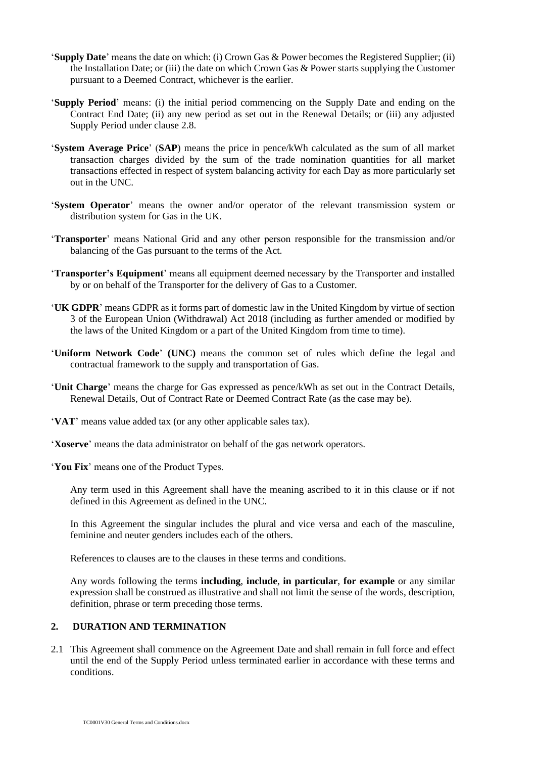- '**Supply Date**' means the date on which: (i) Crown Gas & Power becomes the Registered Supplier; (ii) the Installation Date; or (iii) the date on which Crown Gas & Power starts supplying the Customer pursuant to a Deemed Contract, whichever is the earlier.
- '**Supply Period**' means: (i) the initial period commencing on the Supply Date and ending on the Contract End Date; (ii) any new period as set out in the Renewal Details; or (iii) any adjusted Supply Period under clause 2.8.
- '**System Average Price**' (**SAP**) means the price in pence/kWh calculated as the sum of all market transaction charges divided by the sum of the trade nomination quantities for all market transactions effected in respect of system balancing activity for each Day as more particularly set out in the UNC.
- '**System Operator**' means the owner and/or operator of the relevant transmission system or distribution system for Gas in the UK.
- '**Transporter**' means National Grid and any other person responsible for the transmission and/or balancing of the Gas pursuant to the terms of the Act.
- '**Transporter's Equipment**' means all equipment deemed necessary by the Transporter and installed by or on behalf of the Transporter for the delivery of Gas to a Customer.
- '**UK GDPR**' means GDPR as it forms part of domestic law in the United Kingdom by virtue of section 3 of the European Union (Withdrawal) Act 2018 (including as further amended or modified by the laws of the United Kingdom or a part of the United Kingdom from time to time).
- '**Uniform Network Code**' **(UNC)** means the common set of rules which define the legal and contractual framework to the supply and transportation of Gas.
- '**Unit Charge**' means the charge for Gas expressed as pence/kWh as set out in the Contract Details, Renewal Details, Out of Contract Rate or Deemed Contract Rate (as the case may be).
- '**VAT**' means value added tax (or any other applicable sales tax).
- '**Xoserve**' means the data administrator on behalf of the gas network operators.

'**You Fix**' means one of the Product Types.

Any term used in this Agreement shall have the meaning ascribed to it in this clause or if not defined in this Agreement as defined in the UNC.

In this Agreement the singular includes the plural and vice versa and each of the masculine, feminine and neuter genders includes each of the others.

References to clauses are to the clauses in these terms and conditions.

Any words following the terms **including**, **include**, **in particular**, **for example** or any similar expression shall be construed as illustrative and shall not limit the sense of the words, description, definition, phrase or term preceding those terms.

# **2. DURATION AND TERMINATION**

2.1 This Agreement shall commence on the Agreement Date and shall remain in full force and effect until the end of the Supply Period unless terminated earlier in accordance with these terms and conditions.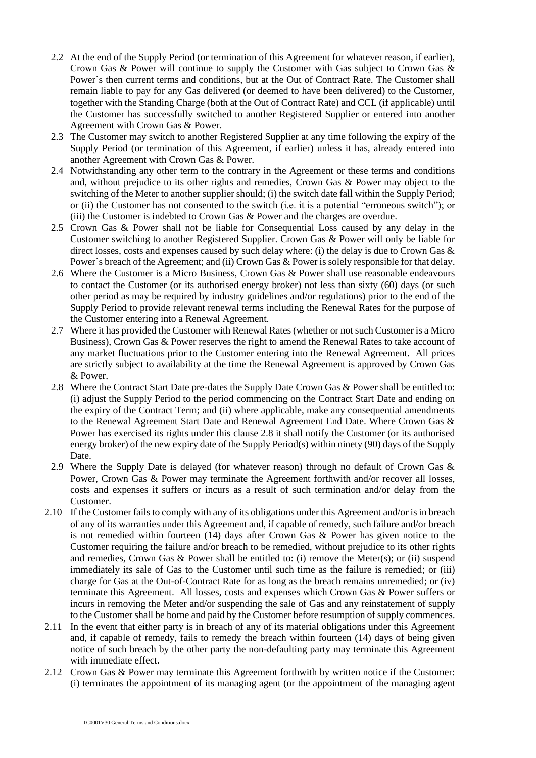- 2.2 At the end of the Supply Period (or termination of this Agreement for whatever reason, if earlier), Crown Gas & Power will continue to supply the Customer with Gas subject to Crown Gas & Power`s then current terms and conditions, but at the Out of Contract Rate. The Customer shall remain liable to pay for any Gas delivered (or deemed to have been delivered) to the Customer, together with the Standing Charge (both at the Out of Contract Rate) and CCL (if applicable) until the Customer has successfully switched to another Registered Supplier or entered into another Agreement with Crown Gas & Power.
- 2.3 The Customer may switch to another Registered Supplier at any time following the expiry of the Supply Period (or termination of this Agreement, if earlier) unless it has, already entered into another Agreement with Crown Gas & Power.
- 2.4 Notwithstanding any other term to the contrary in the Agreement or these terms and conditions and, without prejudice to its other rights and remedies, Crown Gas & Power may object to the switching of the Meter to another supplier should; (i) the switch date fall within the Supply Period; or (ii) the Customer has not consented to the switch (i.e. it is a potential "erroneous switch"); or (iii) the Customer is indebted to Crown Gas & Power and the charges are overdue.
- 2.5 Crown Gas & Power shall not be liable for Consequential Loss caused by any delay in the Customer switching to another Registered Supplier. Crown Gas & Power will only be liable for direct losses, costs and expenses caused by such delay where: (i) the delay is due to Crown Gas & Power's breach of the Agreement; and (ii) Crown Gas & Power is solely responsible for that delay.
- 2.6 Where the Customer is a Micro Business, Crown Gas & Power shall use reasonable endeavours to contact the Customer (or its authorised energy broker) not less than sixty (60) days (or such other period as may be required by industry guidelines and/or regulations) prior to the end of the Supply Period to provide relevant renewal terms including the Renewal Rates for the purpose of the Customer entering into a Renewal Agreement.
- 2.7 Where it has provided the Customer with Renewal Rates (whether or not such Customer is a Micro Business), Crown Gas & Power reserves the right to amend the Renewal Rates to take account of any market fluctuations prior to the Customer entering into the Renewal Agreement. All prices are strictly subject to availability at the time the Renewal Agreement is approved by Crown Gas & Power.
- 2.8 Where the Contract Start Date pre-dates the Supply Date Crown Gas & Power shall be entitled to: (i) adjust the Supply Period to the period commencing on the Contract Start Date and ending on the expiry of the Contract Term; and (ii) where applicable, make any consequential amendments to the Renewal Agreement Start Date and Renewal Agreement End Date. Where Crown Gas & Power has exercised its rights under this clause 2.8 it shall notify the Customer (or its authorised energy broker) of the new expiry date of the Supply Period(s) within ninety (90) days of the Supply Date.
- 2.9 Where the Supply Date is delayed (for whatever reason) through no default of Crown Gas & Power, Crown Gas & Power may terminate the Agreement forthwith and/or recover all losses, costs and expenses it suffers or incurs as a result of such termination and/or delay from the Customer.
- 2.10 If the Customer fails to comply with any of its obligations under this Agreement and/or is in breach of any of its warranties under this Agreement and, if capable of remedy, such failure and/or breach is not remedied within fourteen (14) days after Crown Gas & Power has given notice to the Customer requiring the failure and/or breach to be remedied, without prejudice to its other rights and remedies, Crown Gas & Power shall be entitled to: (i) remove the Meter(s); or (ii) suspend immediately its sale of Gas to the Customer until such time as the failure is remedied; or (iii) charge for Gas at the Out-of-Contract Rate for as long as the breach remains unremedied; or (iv) terminate this Agreement. All losses, costs and expenses which Crown Gas & Power suffers or incurs in removing the Meter and/or suspending the sale of Gas and any reinstatement of supply to the Customer shall be borne and paid by the Customer before resumption of supply commences.
- 2.11 In the event that either party is in breach of any of its material obligations under this Agreement and, if capable of remedy, fails to remedy the breach within fourteen (14) days of being given notice of such breach by the other party the non-defaulting party may terminate this Agreement with immediate effect.
- 2.12 Crown Gas & Power may terminate this Agreement forthwith by written notice if the Customer: (i) terminates the appointment of its managing agent (or the appointment of the managing agent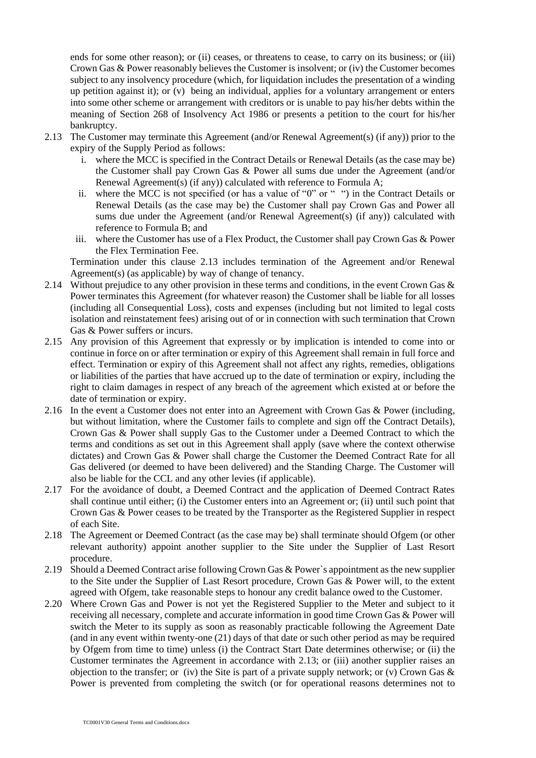ends for some other reason); or (ii) ceases, or threatens to cease, to carry on its business; or (iii) Crown Gas & Power reasonably believes the Customer is insolvent; or (iv) the Customer becomes subject to any insolvency procedure (which, for liquidation includes the presentation of a winding up petition against it); or (v) being an individual, applies for a voluntary arrangement or enters into some other scheme or arrangement with creditors or is unable to pay his/her debts within the meaning of Section 268 of Insolvency Act 1986 or presents a petition to the court for his/her bankruptcy.

- 2.13 The Customer may terminate this Agreement (and/or Renewal Agreement(s) (if any)) prior to the expiry of the Supply Period as follows:
	- i. where the MCC is specified in the Contract Details or Renewal Details (as the case may be) the Customer shall pay Crown Gas & Power all sums due under the Agreement (and/or Renewal Agreement(s) (if any)) calculated with reference to Formula A;
	- ii. where the MCC is not specified (or has a value of "0" or " ") in the Contract Details or Renewal Details (as the case may be) the Customer shall pay Crown Gas and Power all sums due under the Agreement (and/or Renewal Agreement(s) (if any)) calculated with reference to Formula B; and
	- iii. where the Customer has use of a Flex Product, the Customer shall pay Crown Gas & Power the Flex Termination Fee.

Termination under this clause 2.13 includes termination of the Agreement and/or Renewal Agreement(s) (as applicable) by way of change of tenancy.

- 2.14 Without prejudice to any other provision in these terms and conditions, in the event Crown Gas & Power terminates this Agreement (for whatever reason) the Customer shall be liable for all losses (including all Consequential Loss), costs and expenses (including but not limited to legal costs isolation and reinstatement fees) arising out of or in connection with such termination that Crown Gas & Power suffers or incurs.
- 2.15 Any provision of this Agreement that expressly or by implication is intended to come into or continue in force on or after termination or expiry of this Agreement shall remain in full force and effect. Termination or expiry of this Agreement shall not affect any rights, remedies, obligations or liabilities of the parties that have accrued up to the date of termination or expiry, including the right to claim damages in respect of any breach of the agreement which existed at or before the date of termination or expiry.
- 2.16 In the event a Customer does not enter into an Agreement with Crown Gas & Power (including, but without limitation, where the Customer fails to complete and sign off the Contract Details), Crown Gas & Power shall supply Gas to the Customer under a Deemed Contract to which the terms and conditions as set out in this Agreement shall apply (save where the context otherwise dictates) and Crown Gas & Power shall charge the Customer the Deemed Contract Rate for all Gas delivered (or deemed to have been delivered) and the Standing Charge. The Customer will also be liable for the CCL and any other levies (if applicable).
- 2.17 For the avoidance of doubt, a Deemed Contract and the application of Deemed Contract Rates shall continue until either; (i) the Customer enters into an Agreement or; (ii) until such point that Crown Gas & Power ceases to be treated by the Transporter as the Registered Supplier in respect of each Site.
- 2.18 The Agreement or Deemed Contract (as the case may be) shall terminate should Ofgem (or other relevant authority) appoint another supplier to the Site under the Supplier of Last Resort procedure.
- 2.19 Should a Deemed Contract arise following Crown Gas & Power`s appointment as the new supplier to the Site under the Supplier of Last Resort procedure, Crown Gas & Power will, to the extent agreed with Ofgem, take reasonable steps to honour any credit balance owed to the Customer.
- 2.20 Where Crown Gas and Power is not yet the Registered Supplier to the Meter and subject to it receiving all necessary, complete and accurate information in good time Crown Gas & Power will switch the Meter to its supply as soon as reasonably practicable following the Agreement Date (and in any event within twenty-one (21) days of that date or such other period as may be required by Ofgem from time to time) unless (i) the Contract Start Date determines otherwise; or (ii) the Customer terminates the Agreement in accordance with 2.13; or (iii) another supplier raises an objection to the transfer; or (iv) the Site is part of a private supply network; or (v) Crown Gas  $\&$ Power is prevented from completing the switch (or for operational reasons determines not to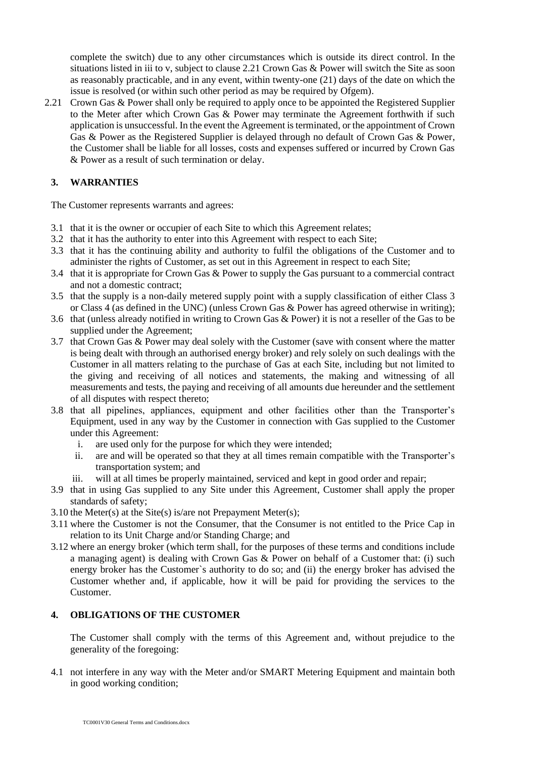complete the switch) due to any other circumstances which is outside its direct control. In the situations listed in iii to v, subject to clause 2.21 Crown Gas & Power will switch the Site as soon as reasonably practicable, and in any event, within twenty-one (21) days of the date on which the issue is resolved (or within such other period as may be required by Ofgem).

2.21 Crown Gas & Power shall only be required to apply once to be appointed the Registered Supplier to the Meter after which Crown Gas & Power may terminate the Agreement forthwith if such application is unsuccessful. In the event the Agreement is terminated, or the appointment of Crown Gas & Power as the Registered Supplier is delayed through no default of Crown Gas & Power, the Customer shall be liable for all losses, costs and expenses suffered or incurred by Crown Gas & Power as a result of such termination or delay.

# **3. WARRANTIES**

The Customer represents warrants and agrees:

- 3.1 that it is the owner or occupier of each Site to which this Agreement relates;
- 3.2 that it has the authority to enter into this Agreement with respect to each Site;
- 3.3 that it has the continuing ability and authority to fulfil the obligations of the Customer and to administer the rights of Customer, as set out in this Agreement in respect to each Site;
- 3.4 that it is appropriate for Crown Gas & Power to supply the Gas pursuant to a commercial contract and not a domestic contract;
- 3.5 that the supply is a non-daily metered supply point with a supply classification of either Class 3 or Class 4 (as defined in the UNC) (unless Crown Gas & Power has agreed otherwise in writing);
- 3.6 that (unless already notified in writing to Crown Gas & Power) it is not a reseller of the Gas to be supplied under the Agreement;
- 3.7 that Crown Gas & Power may deal solely with the Customer (save with consent where the matter is being dealt with through an authorised energy broker) and rely solely on such dealings with the Customer in all matters relating to the purchase of Gas at each Site, including but not limited to the giving and receiving of all notices and statements, the making and witnessing of all measurements and tests, the paying and receiving of all amounts due hereunder and the settlement of all disputes with respect thereto;
- 3.8 that all pipelines, appliances, equipment and other facilities other than the Transporter's Equipment, used in any way by the Customer in connection with Gas supplied to the Customer under this Agreement:
	- i. are used only for the purpose for which they were intended;
	- ii. are and will be operated so that they at all times remain compatible with the Transporter's transportation system; and
	- iii. will at all times be properly maintained, serviced and kept in good order and repair;
- 3.9 that in using Gas supplied to any Site under this Agreement, Customer shall apply the proper standards of safety;
- 3.10 the Meter(s) at the Site(s) is/are not Prepayment Meter(s);
- 3.11 where the Customer is not the Consumer, that the Consumer is not entitled to the Price Cap in relation to its Unit Charge and/or Standing Charge; and
- 3.12 where an energy broker (which term shall, for the purposes of these terms and conditions include a managing agent) is dealing with Crown Gas & Power on behalf of a Customer that: (i) such energy broker has the Customer`s authority to do so; and (ii) the energy broker has advised the Customer whether and, if applicable, how it will be paid for providing the services to the Customer.

### **4. OBLIGATIONS OF THE CUSTOMER**

The Customer shall comply with the terms of this Agreement and, without prejudice to the generality of the foregoing:

4.1 not interfere in any way with the Meter and/or SMART Metering Equipment and maintain both in good working condition;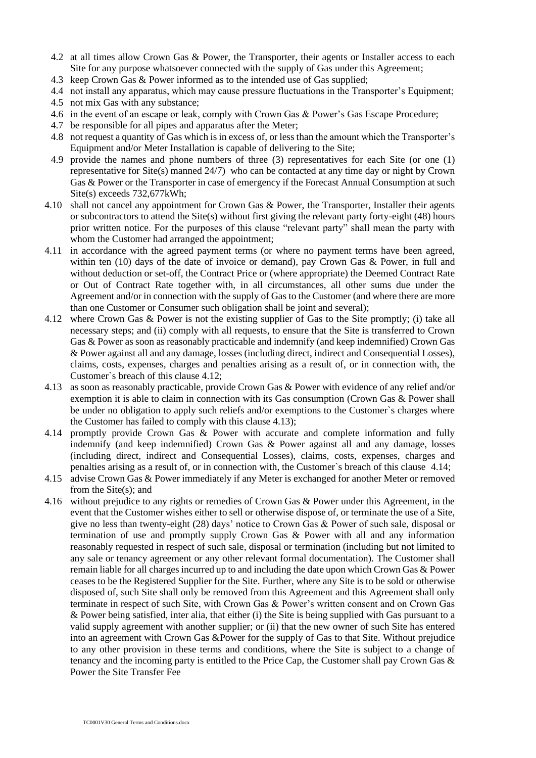- 4.2 at all times allow Crown Gas & Power, the Transporter, their agents or Installer access to each Site for any purpose whatsoever connected with the supply of Gas under this Agreement;
- 4.3 keep Crown Gas & Power informed as to the intended use of Gas supplied;
- 4.4 not install any apparatus, which may cause pressure fluctuations in the Transporter's Equipment;
- 4.5 not mix Gas with any substance;
- 4.6 in the event of an escape or leak, comply with Crown Gas & Power's Gas Escape Procedure;
- 4.7 be responsible for all pipes and apparatus after the Meter;
- 4.8 not request a quantity of Gas which is in excess of, or less than the amount which the Transporter's Equipment and/or Meter Installation is capable of delivering to the Site;
- 4.9 provide the names and phone numbers of three (3) representatives for each Site (or one (1) representative for Site(s) manned 24/7) who can be contacted at any time day or night by Crown Gas & Power or the Transporter in case of emergency if the Forecast Annual Consumption at such Site(s) exceeds 732,677kWh;
- 4.10 shall not cancel any appointment for Crown Gas & Power, the Transporter, Installer their agents or subcontractors to attend the Site(s) without first giving the relevant party forty-eight (48) hours prior written notice. For the purposes of this clause "relevant party" shall mean the party with whom the Customer had arranged the appointment;
- 4.11 in accordance with the agreed payment terms (or where no payment terms have been agreed, within ten (10) days of the date of invoice or demand), pay Crown Gas & Power, in full and without deduction or set-off, the Contract Price or (where appropriate) the Deemed Contract Rate or Out of Contract Rate together with, in all circumstances, all other sums due under the Agreement and/or in connection with the supply of Gas to the Customer (and where there are more than one Customer or Consumer such obligation shall be joint and several);
- 4.12 where Crown Gas & Power is not the existing supplier of Gas to the Site promptly; (i) take all necessary steps; and (ii) comply with all requests, to ensure that the Site is transferred to Crown Gas & Power as soon as reasonably practicable and indemnify (and keep indemnified) Crown Gas & Power against all and any damage, losses (including direct, indirect and Consequential Losses), claims, costs, expenses, charges and penalties arising as a result of, or in connection with, the Customer`s breach of this clause 4.12;
- 4.13 as soon as reasonably practicable, provide Crown Gas & Power with evidence of any relief and/or exemption it is able to claim in connection with its Gas consumption (Crown Gas & Power shall be under no obligation to apply such reliefs and/or exemptions to the Customer`s charges where the Customer has failed to comply with this clause 4.13);
- 4.14 promptly provide Crown Gas & Power with accurate and complete information and fully indemnify (and keep indemnified) Crown Gas & Power against all and any damage, losses (including direct, indirect and Consequential Losses), claims, costs, expenses, charges and penalties arising as a result of, or in connection with, the Customer`s breach of this clause 4.14;
- 4.15 advise Crown Gas & Power immediately if any Meter is exchanged for another Meter or removed from the Site(s); and
- 4.16 without prejudice to any rights or remedies of Crown Gas & Power under this Agreement, in the event that the Customer wishes either to sell or otherwise dispose of, or terminate the use of a Site, give no less than twenty-eight (28) days' notice to Crown Gas & Power of such sale, disposal or termination of use and promptly supply Crown Gas & Power with all and any information reasonably requested in respect of such sale, disposal or termination (including but not limited to any sale or tenancy agreement or any other relevant formal documentation). The Customer shall remain liable for all charges incurred up to and including the date upon which Crown Gas & Power ceases to be the Registered Supplier for the Site. Further, where any Site is to be sold or otherwise disposed of, such Site shall only be removed from this Agreement and this Agreement shall only terminate in respect of such Site, with Crown Gas & Power's written consent and on Crown Gas & Power being satisfied, inter alia, that either (i) the Site is being supplied with Gas pursuant to a valid supply agreement with another supplier; or (ii) that the new owner of such Site has entered into an agreement with Crown Gas &Power for the supply of Gas to that Site. Without prejudice to any other provision in these terms and conditions, where the Site is subject to a change of tenancy and the incoming party is entitled to the Price Cap, the Customer shall pay Crown Gas & Power the Site Transfer Fee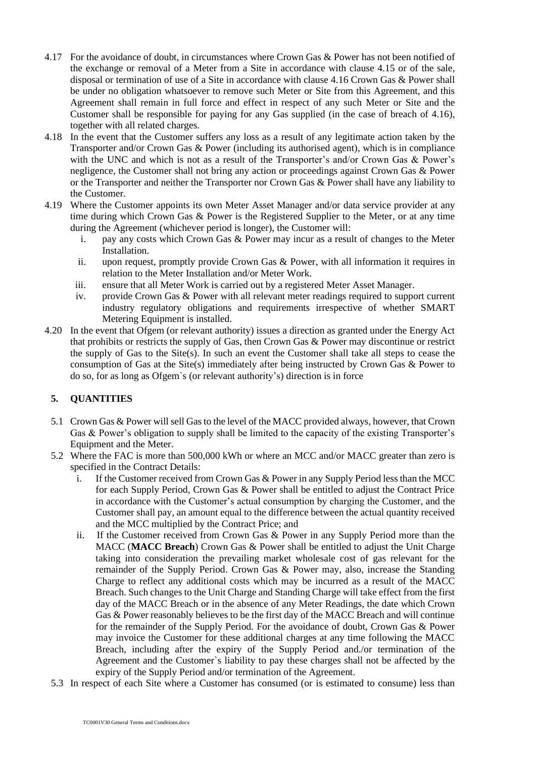- 4.17 For the avoidance of doubt, in circumstances where Crown Gas & Power has not been notified of the exchange or removal of a Meter from a Site in accordance with clause 4.15 or of the sale, disposal or termination of use of a Site in accordance with clause 4.16 Crown Gas & Power shall be under no obligation whatsoever to remove such Meter or Site from this Agreement, and this Agreement shall remain in full force and effect in respect of any such Meter or Site and the Customer shall be responsible for paying for any Gas supplied (in the case of breach of 4.16), together with all related charges.
- 4.18 In the event that the Customer suffers any loss as a result of any legitimate action taken by the Transporter and/or Crown Gas & Power (including its authorised agent), which is in compliance with the UNC and which is not as a result of the Transporter's and/or Crown Gas & Power's negligence, the Customer shall not bring any action or proceedings against Crown Gas & Power or the Transporter and neither the Transporter nor Crown Gas & Power shall have any liability to the Customer.
- 4.19 Where the Customer appoints its own Meter Asset Manager and/or data service provider at any time during which Crown Gas & Power is the Registered Supplier to the Meter, or at any time during the Agreement (whichever period is longer), the Customer will:
	- i. pay any costs which Crown Gas & Power may incur as a result of changes to the Meter Installation.
	- ii. upon request, promptly provide Crown Gas & Power, with all information it requires in relation to the Meter Installation and/or Meter Work.
	- iii. ensure that all Meter Work is carried out by a registered Meter Asset Manager.
	- iv. provide Crown Gas & Power with all relevant meter readings required to support current industry regulatory obligations and requirements irrespective of whether SMART Metering Equipment is installed.
- 4.20 In the event that Ofgem (or relevant authority) issues a direction as granted under the Energy Act that prohibits or restricts the supply of Gas, then Crown Gas & Power may discontinue or restrict the supply of Gas to the Site(s). In such an event the Customer shall take all steps to cease the consumption of Gas at the Site(s) immediately after being instructed by Crown Gas & Power to do so, for as long as Ofgem`s (or relevant authority's) direction is in force

# **5. QUANTITIES**

- 5.1 Crown Gas & Power will sell Gas to the level of the MACC provided always, however, that Crown Gas & Power's obligation to supply shall be limited to the capacity of the existing Transporter's Equipment and the Meter.
- 5.2 Where the FAC is more than 500,000 kWh or where an MCC and/or MACC greater than zero is specified in the Contract Details:
	- i. If the Customer received from Crown Gas & Power in any Supply Period less than the MCC for each Supply Period, Crown Gas & Power shall be entitled to adjust the Contract Price in accordance with the Customer's actual consumption by charging the Customer, and the Customer shall pay, an amount equal to the difference between the actual quantity received and the MCC multiplied by the Contract Price; and
	- ii. If the Customer received from Crown Gas & Power in any Supply Period more than the MACC (**MACC Breach**) Crown Gas & Power shall be entitled to adjust the Unit Charge taking into consideration the prevailing market wholesale cost of gas relevant for the remainder of the Supply Period. Crown Gas & Power may, also, increase the Standing Charge to reflect any additional costs which may be incurred as a result of the MACC Breach. Such changes to the Unit Charge and Standing Charge will take effect from the first day of the MACC Breach or in the absence of any Meter Readings, the date which Crown Gas & Power reasonably believes to be the first day of the MACC Breach and will continue for the remainder of the Supply Period. For the avoidance of doubt, Crown Gas & Power may invoice the Customer for these additional charges at any time following the MACC Breach, including after the expiry of the Supply Period and./or termination of the Agreement and the Customer`s liability to pay these charges shall not be affected by the expiry of the Supply Period and/or termination of the Agreement.
- 5.3 In respect of each Site where a Customer has consumed (or is estimated to consume) less than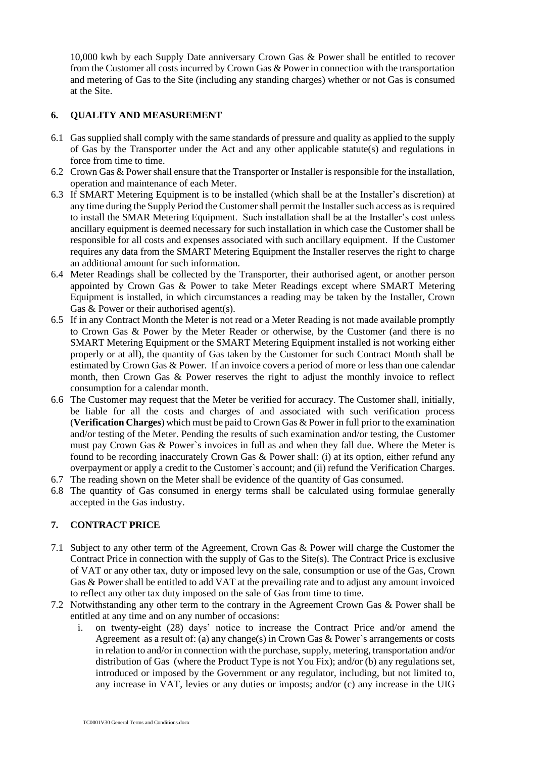10,000 kwh by each Supply Date anniversary Crown Gas & Power shall be entitled to recover from the Customer all costs incurred by Crown Gas & Power in connection with the transportation and metering of Gas to the Site (including any standing charges) whether or not Gas is consumed at the Site.

### **6. QUALITY AND MEASUREMENT**

- 6.1 Gas supplied shall comply with the same standards of pressure and quality as applied to the supply of Gas by the Transporter under the Act and any other applicable statute(s) and regulations in force from time to time.
- 6.2 Crown Gas & Power shall ensure that the Transporter or Installer is responsible for the installation, operation and maintenance of each Meter.
- 6.3 If SMART Metering Equipment is to be installed (which shall be at the Installer's discretion) at any time during the Supply Period the Customer shall permit the Installer such access as is required to install the SMAR Metering Equipment. Such installation shall be at the Installer's cost unless ancillary equipment is deemed necessary for such installation in which case the Customer shall be responsible for all costs and expenses associated with such ancillary equipment. If the Customer requires any data from the SMART Metering Equipment the Installer reserves the right to charge an additional amount for such information.
- 6.4 Meter Readings shall be collected by the Transporter, their authorised agent, or another person appointed by Crown Gas & Power to take Meter Readings except where SMART Metering Equipment is installed, in which circumstances a reading may be taken by the Installer, Crown Gas & Power or their authorised agent(s).
- 6.5 If in any Contract Month the Meter is not read or a Meter Reading is not made available promptly to Crown Gas & Power by the Meter Reader or otherwise, by the Customer (and there is no SMART Metering Equipment or the SMART Metering Equipment installed is not working either properly or at all), the quantity of Gas taken by the Customer for such Contract Month shall be estimated by Crown Gas & Power. If an invoice covers a period of more or less than one calendar month, then Crown Gas & Power reserves the right to adjust the monthly invoice to reflect consumption for a calendar month.
- 6.6 The Customer may request that the Meter be verified for accuracy. The Customer shall, initially, be liable for all the costs and charges of and associated with such verification process (**Verification Charges**) which must be paid to Crown Gas & Power in full prior to the examination and/or testing of the Meter. Pending the results of such examination and/or testing, the Customer must pay Crown Gas & Power`s invoices in full as and when they fall due. Where the Meter is found to be recording inaccurately Crown Gas & Power shall: (i) at its option, either refund any overpayment or apply a credit to the Customer`s account; and (ii) refund the Verification Charges.
- 6.7 The reading shown on the Meter shall be evidence of the quantity of Gas consumed.
- 6.8 The quantity of Gas consumed in energy terms shall be calculated using formulae generally accepted in the Gas industry.

### **7. CONTRACT PRICE**

- 7.1 Subject to any other term of the Agreement, Crown Gas & Power will charge the Customer the Contract Price in connection with the supply of Gas to the Site(s). The Contract Price is exclusive of VAT or any other tax, duty or imposed levy on the sale, consumption or use of the Gas, Crown Gas & Power shall be entitled to add VAT at the prevailing rate and to adjust any amount invoiced to reflect any other tax duty imposed on the sale of Gas from time to time.
- 7.2 Notwithstanding any other term to the contrary in the Agreement Crown Gas & Power shall be entitled at any time and on any number of occasions:
	- i. on twenty-eight (28) days' notice to increase the Contract Price and/or amend the Agreement as a result of: (a) any change(s) in Crown Gas & Power`s arrangements or costs in relation to and/or in connection with the purchase, supply, metering, transportation and/or distribution of Gas (where the Product Type is not You Fix); and/or (b) any regulations set, introduced or imposed by the Government or any regulator, including, but not limited to, any increase in VAT, levies or any duties or imposts; and/or (c) any increase in the UIG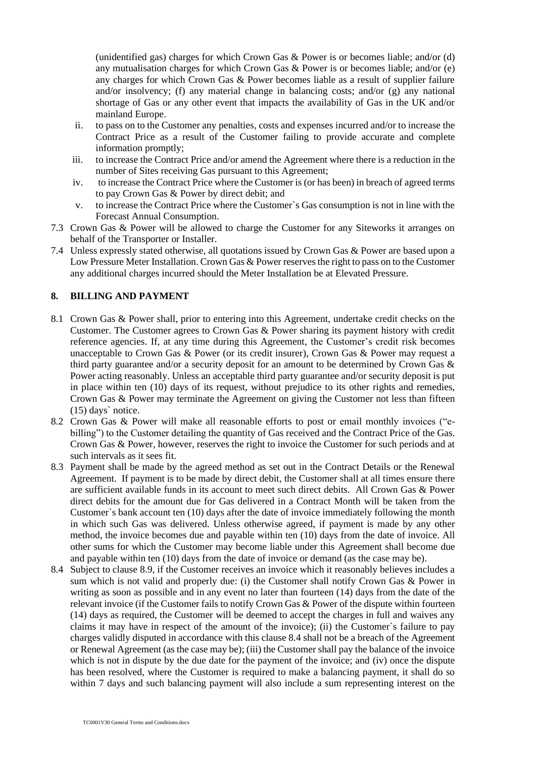(unidentified gas) charges for which Crown Gas & Power is or becomes liable; and/or (d) any mutualisation charges for which Crown Gas  $\&$  Power is or becomes liable; and/or (e) any charges for which Crown Gas & Power becomes liable as a result of supplier failure and/or insolvency; (f) any material change in balancing costs; and/or (g) any national shortage of Gas or any other event that impacts the availability of Gas in the UK and/or mainland Europe.

- ii. to pass on to the Customer any penalties, costs and expenses incurred and/or to increase the Contract Price as a result of the Customer failing to provide accurate and complete information promptly;
- iii. to increase the Contract Price and/or amend the Agreement where there is a reduction in the number of Sites receiving Gas pursuant to this Agreement;
- iv. to increase the Contract Price where the Customer is (or has been) in breach of agreed terms to pay Crown Gas & Power by direct debit; and
- v. to increase the Contract Price where the Customer`s Gas consumption is not in line with the Forecast Annual Consumption.
- 7.3 Crown Gas & Power will be allowed to charge the Customer for any Siteworks it arranges on behalf of the Transporter or Installer.
- 7.4 Unless expressly stated otherwise, all quotations issued by Crown Gas & Power are based upon a Low Pressure Meter Installation. Crown Gas & Power reserves the right to pass on to the Customer any additional charges incurred should the Meter Installation be at Elevated Pressure.

### **8. BILLING AND PAYMENT**

- 8.1 Crown Gas & Power shall, prior to entering into this Agreement, undertake credit checks on the Customer. The Customer agrees to Crown Gas & Power sharing its payment history with credit reference agencies. If, at any time during this Agreement, the Customer's credit risk becomes unacceptable to Crown Gas & Power (or its credit insurer), Crown Gas & Power may request a third party guarantee and/or a security deposit for an amount to be determined by Crown Gas & Power acting reasonably. Unless an acceptable third party guarantee and/or security deposit is put in place within ten (10) days of its request, without prejudice to its other rights and remedies, Crown Gas & Power may terminate the Agreement on giving the Customer not less than fifteen (15) days` notice.
- 8.2 Crown Gas & Power will make all reasonable efforts to post or email monthly invoices ("ebilling") to the Customer detailing the quantity of Gas received and the Contract Price of the Gas. Crown Gas & Power, however, reserves the right to invoice the Customer for such periods and at such intervals as it sees fit.
- 8.3 Payment shall be made by the agreed method as set out in the Contract Details or the Renewal Agreement. If payment is to be made by direct debit, the Customer shall at all times ensure there are sufficient available funds in its account to meet such direct debits. All Crown Gas & Power direct debits for the amount due for Gas delivered in a Contract Month will be taken from the Customer`s bank account ten (10) days after the date of invoice immediately following the month in which such Gas was delivered. Unless otherwise agreed, if payment is made by any other method, the invoice becomes due and payable within ten (10) days from the date of invoice. All other sums for which the Customer may become liable under this Agreement shall become due and payable within ten (10) days from the date of invoice or demand (as the case may be).
- 8.4 Subject to clause 8.9, if the Customer receives an invoice which it reasonably believes includes a sum which is not valid and properly due: (i) the Customer shall notify Crown Gas & Power in writing as soon as possible and in any event no later than fourteen (14) days from the date of the relevant invoice (if the Customer fails to notify Crown Gas & Power of the dispute within fourteen (14) days as required, the Customer will be deemed to accept the charges in full and waives any claims it may have in respect of the amount of the invoice); (ii) the Customer`s failure to pay charges validly disputed in accordance with this clause 8.4 shall not be a breach of the Agreement or Renewal Agreement (as the case may be); (iii) the Customer shall pay the balance of the invoice which is not in dispute by the due date for the payment of the invoice; and (iv) once the dispute has been resolved, where the Customer is required to make a balancing payment, it shall do so within 7 days and such balancing payment will also include a sum representing interest on the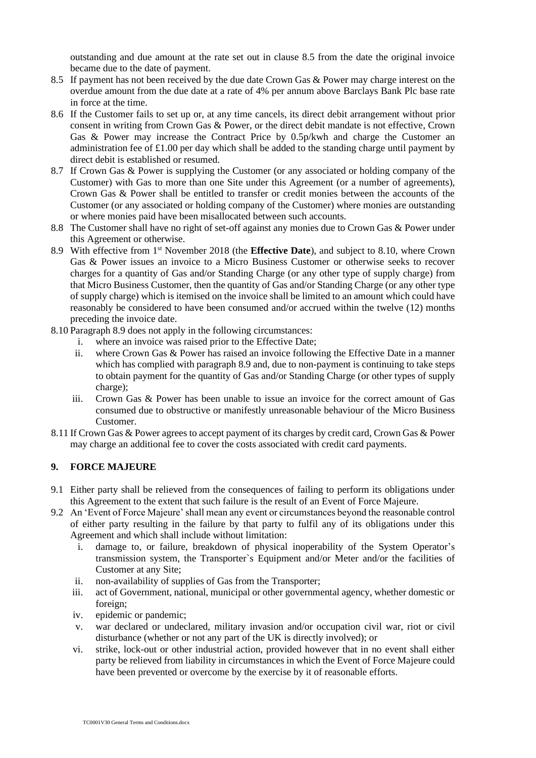outstanding and due amount at the rate set out in clause 8.5 from the date the original invoice became due to the date of payment.

- 8.5 If payment has not been received by the due date Crown Gas & Power may charge interest on the overdue amount from the due date at a rate of 4% per annum above Barclays Bank Plc base rate in force at the time.
- 8.6 If the Customer fails to set up or, at any time cancels, its direct debit arrangement without prior consent in writing from Crown Gas & Power, or the direct debit mandate is not effective, Crown Gas & Power may increase the Contract Price by 0.5p/kwh and charge the Customer an administration fee of £1.00 per day which shall be added to the standing charge until payment by direct debit is established or resumed.
- 8.7 If Crown Gas & Power is supplying the Customer (or any associated or holding company of the Customer) with Gas to more than one Site under this Agreement (or a number of agreements), Crown Gas & Power shall be entitled to transfer or credit monies between the accounts of the Customer (or any associated or holding company of the Customer) where monies are outstanding or where monies paid have been misallocated between such accounts.
- 8.8 The Customer shall have no right of set-off against any monies due to Crown Gas & Power under this Agreement or otherwise.
- 8.9 With effective from 1st November 2018 (the **Effective Date**), and subject to 8.10, where Crown Gas & Power issues an invoice to a Micro Business Customer or otherwise seeks to recover charges for a quantity of Gas and/or Standing Charge (or any other type of supply charge) from that Micro Business Customer, then the quantity of Gas and/or Standing Charge (or any other type of supply charge) which is itemised on the invoice shall be limited to an amount which could have reasonably be considered to have been consumed and/or accrued within the twelve (12) months preceding the invoice date.
- 8.10 Paragraph 8.9 does not apply in the following circumstances:
	- i. where an invoice was raised prior to the Effective Date;
	- ii. where Crown Gas & Power has raised an invoice following the Effective Date in a manner which has complied with paragraph 8.9 and, due to non-payment is continuing to take steps to obtain payment for the quantity of Gas and/or Standing Charge (or other types of supply charge);
	- iii. Crown Gas & Power has been unable to issue an invoice for the correct amount of Gas consumed due to obstructive or manifestly unreasonable behaviour of the Micro Business Customer.
- 8.11 If Crown Gas & Power agrees to accept payment of its charges by credit card, Crown Gas & Power may charge an additional fee to cover the costs associated with credit card payments.

### **9. FORCE MAJEURE**

- 9.1 Either party shall be relieved from the consequences of failing to perform its obligations under this Agreement to the extent that such failure is the result of an Event of Force Majeure.
- 9.2 An 'Event of Force Majeure' shall mean any event or circumstances beyond the reasonable control of either party resulting in the failure by that party to fulfil any of its obligations under this Agreement and which shall include without limitation:
	- i. damage to, or failure, breakdown of physical inoperability of the System Operator's transmission system, the Transporter`s Equipment and/or Meter and/or the facilities of Customer at any Site;
	- ii. non-availability of supplies of Gas from the Transporter;
	- iii. act of Government, national, municipal or other governmental agency, whether domestic or foreign;
	- iv. epidemic or pandemic;
	- v. war declared or undeclared, military invasion and/or occupation civil war, riot or civil disturbance (whether or not any part of the UK is directly involved); or
	- vi. strike, lock-out or other industrial action, provided however that in no event shall either party be relieved from liability in circumstances in which the Event of Force Majeure could have been prevented or overcome by the exercise by it of reasonable efforts.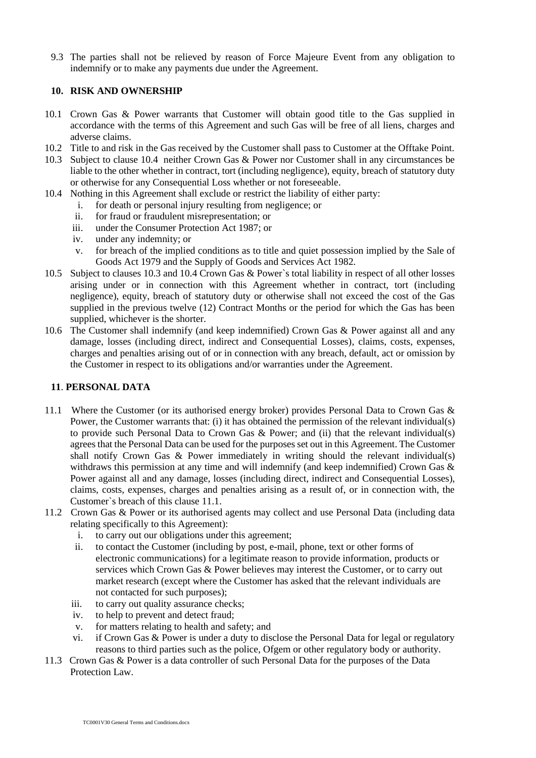9.3 The parties shall not be relieved by reason of Force Majeure Event from any obligation to indemnify or to make any payments due under the Agreement.

### **10. RISK AND OWNERSHIP**

- 10.1 Crown Gas & Power warrants that Customer will obtain good title to the Gas supplied in accordance with the terms of this Agreement and such Gas will be free of all liens, charges and adverse claims.
- 10.2 Title to and risk in the Gas received by the Customer shall pass to Customer at the Offtake Point.
- 10.3 Subject to clause 10.4 neither Crown Gas & Power nor Customer shall in any circumstances be liable to the other whether in contract, tort (including negligence), equity, breach of statutory duty or otherwise for any Consequential Loss whether or not foreseeable.
- 10.4 Nothing in this Agreement shall exclude or restrict the liability of either party:
	- i. for death or personal injury resulting from negligence; or
	- ii. for fraud or fraudulent misrepresentation; or
	- iii. under the Consumer Protection Act 1987; or
	- iv. under any indemnity; or
	- v. for breach of the implied conditions as to title and quiet possession implied by the Sale of Goods Act 1979 and the Supply of Goods and Services Act 1982.
- 10.5 Subject to clauses 10.3 and 10.4 Crown Gas & Power`s total liability in respect of all other losses arising under or in connection with this Agreement whether in contract, tort (including negligence), equity, breach of statutory duty or otherwise shall not exceed the cost of the Gas supplied in the previous twelve (12) Contract Months or the period for which the Gas has been supplied, whichever is the shorter.
- 10.6 The Customer shall indemnify (and keep indemnified) Crown Gas & Power against all and any damage, losses (including direct, indirect and Consequential Losses), claims, costs, expenses, charges and penalties arising out of or in connection with any breach, default, act or omission by the Customer in respect to its obligations and/or warranties under the Agreement.

### **11**. **PERSONAL DATA**

- 11.1 Where the Customer (or its authorised energy broker) provides Personal Data to Crown Gas & Power, the Customer warrants that: (i) it has obtained the permission of the relevant individual(s) to provide such Personal Data to Crown Gas & Power; and (ii) that the relevant individual(s) agrees that the Personal Data can be used for the purposes set out in this Agreement. The Customer shall notify Crown Gas & Power immediately in writing should the relevant individual(s) withdraws this permission at any time and will indemnify (and keep indemnified) Crown Gas & Power against all and any damage, losses (including direct, indirect and Consequential Losses), claims, costs, expenses, charges and penalties arising as a result of, or in connection with, the Customer`s breach of this clause 11.1.
- 11.2 Crown Gas & Power or its authorised agents may collect and use Personal Data (including data relating specifically to this Agreement):
	- i. to carry out our obligations under this agreement;
	- ii. to contact the Customer (including by post, e-mail, phone, text or other forms of electronic communications) for a legitimate reason to provide information, products or services which Crown Gas & Power believes may interest the Customer, or to carry out market research (except where the Customer has asked that the relevant individuals are not contacted for such purposes);
	- iii. to carry out quality assurance checks;
	- iv. to help to prevent and detect fraud;
	- v. for matters relating to health and safety; and
	- vi. if Crown Gas & Power is under a duty to disclose the Personal Data for legal or regulatory reasons to third parties such as the police, Ofgem or other regulatory body or authority.
- 11.3 Crown Gas & Power is a data controller of such Personal Data for the purposes of the Data Protection Law.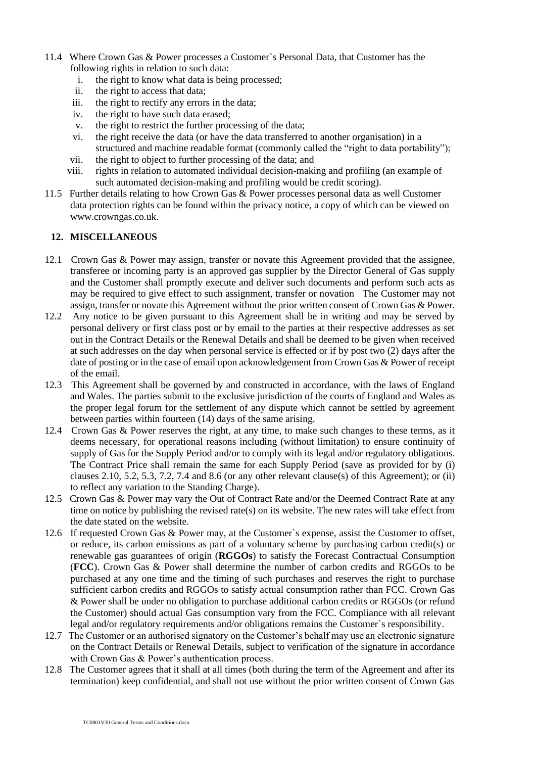- 11.4 Where Crown Gas & Power processes a Customer`s Personal Data, that Customer has the following rights in relation to such data:
	- i. the right to know what data is being processed;
	- ii. the right to access that data;
	- iii. the right to rectify any errors in the data;
	- iv. the right to have such data erased;
	- v. the right to restrict the further processing of the data;
	- vi. the right receive the data (or have the data transferred to another organisation) in a structured and machine readable format (commonly called the "right to data portability");
	- vii. the right to object to further processing of the data; and
	- viii. rights in relation to automated individual decision-making and profiling (an example of such automated decision-making and profiling would be credit scoring).
- 11.5 Further details relating to how Crown Gas & Power processes personal data as well Customer data protection rights can be found within the privacy notice, a copy of which can be viewed on www.crowngas.co.uk.

### **12. MISCELLANEOUS**

- 12.1 Crown Gas & Power may assign, transfer or novate this Agreement provided that the assignee, transferee or incoming party is an approved gas supplier by the Director General of Gas supply and the Customer shall promptly execute and deliver such documents and perform such acts as may be required to give effect to such assignment, transfer or novation The Customer may not assign, transfer or novate this Agreement without the prior written consent of Crown Gas & Power.
- 12.2 Any notice to be given pursuant to this Agreement shall be in writing and may be served by personal delivery or first class post or by email to the parties at their respective addresses as set out in the Contract Details or the Renewal Details and shall be deemed to be given when received at such addresses on the day when personal service is effected or if by post two (2) days after the date of posting or in the case of email upon acknowledgement from Crown Gas & Power of receipt of the email.
- 12.3 This Agreement shall be governed by and constructed in accordance, with the laws of England and Wales. The parties submit to the exclusive jurisdiction of the courts of England and Wales as the proper legal forum for the settlement of any dispute which cannot be settled by agreement between parties within fourteen (14) days of the same arising.
- 12.4 Crown Gas & Power reserves the right, at any time, to make such changes to these terms, as it deems necessary, for operational reasons including (without limitation) to ensure continuity of supply of Gas for the Supply Period and/or to comply with its legal and/or regulatory obligations. The Contract Price shall remain the same for each Supply Period (save as provided for by (i) clauses 2.10, 5.2, 5.3, 7.2, 7.4 and 8.6 (or any other relevant clause(s) of this Agreement); or (ii) to reflect any variation to the Standing Charge).
- 12.5 Crown Gas & Power may vary the Out of Contract Rate and/or the Deemed Contract Rate at any time on notice by publishing the revised rate(s) on its website. The new rates will take effect from the date stated on the website.
- 12.6 If requested Crown Gas & Power may, at the Customer`s expense, assist the Customer to offset, or reduce, its carbon emissions as part of a voluntary scheme by purchasing carbon credit(s) or renewable gas guarantees of origin (**RGGOs**) to satisfy the Forecast Contractual Consumption (**FCC**). Crown Gas & Power shall determine the number of carbon credits and RGGOs to be purchased at any one time and the timing of such purchases and reserves the right to purchase sufficient carbon credits and RGGOs to satisfy actual consumption rather than FCC. Crown Gas & Power shall be under no obligation to purchase additional carbon credits or RGGOs (or refund the Customer) should actual Gas consumption vary from the FCC. Compliance with all relevant legal and/or regulatory requirements and/or obligations remains the Customer`s responsibility.
- 12.7 The Customer or an authorised signatory on the Customer's behalf may use an electronic signature on the Contract Details or Renewal Details, subject to verification of the signature in accordance with Crown Gas & Power's authentication process.
- 12.8 The Customer agrees that it shall at all times (both during the term of the Agreement and after its termination) keep confidential, and shall not use without the prior written consent of Crown Gas